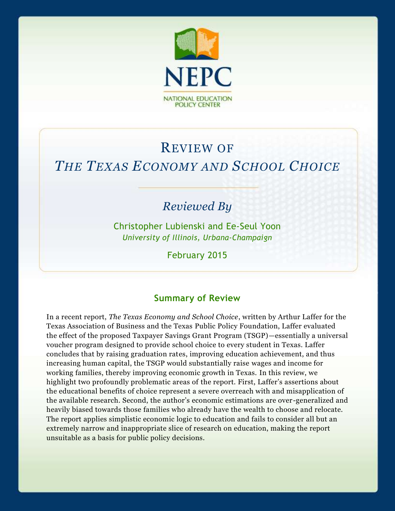

# REVIEW OF *THE TEXAS ECONOMY AND SCHOOL CHOICE*

# *Reviewed By*

Christopher Lubienski and Ee-Seul Yoon *University of Illinois, Urbana-Champaign*

February 2015

## **Summary of Review**

In a recent report, *The Texas Economy and School Choice*, written by Arthur Laffer for the Texas Association of Business and the Texas Public Policy Foundation, Laffer evaluated the effect of the proposed Taxpayer Savings Grant Program (TSGP)—essentially a universal voucher program designed to provide school choice to every student in Texas. Laffer concludes that by raising graduation rates, improving education achievement, and thus increasing human capital, the TSGP would substantially raise wages and income for working families, thereby improving economic growth in Texas. In this review, we highlight two profoundly problematic areas of the report. First, Laffer's assertions about the educational benefits of choice represent a severe overreach with and misapplication of the available research. Second, the author's economic estimations are over -generalized and heavily biased towards those families who already have the wealth to choose and relocate. The report applies simplistic economic logic to education and fails to consider all but an extremely narrow and inappropriate slice of research on education, making the report unsuitable as a basis for public policy decisions.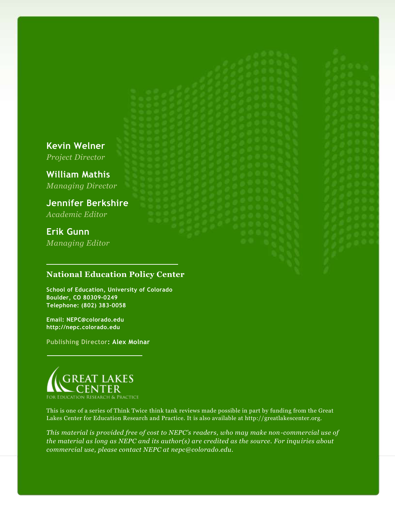**Kevin Welner** *Project Director*

**William Mathis** *Managing Director*

**Jennifer Berkshire** *Academic Editor*

**Erik Gunn** *Managing Editor*

### **National Education Policy Center**

**School of Education, University of Colorado Boulder, CO 80309-0249 Telephone: (802) 383-0058**

**Email: NEPC@colorado.edu http://nepc.colorado.edu**

**Publishing Director: Alex Molnar**



This is one of a series of Think Twice think tank reviews made possible in part by funding from the Great Lakes Center for Education Research and Practice. It is also available at http://greatlakescenter.org.

*This material is provided free of cost to NEPC's readers, who may make non-commercial use of the material as long as NEPC and its author(s) are credited as the source. For inquiries about commercial use, please contact NEPC at nepc@colorado.edu.*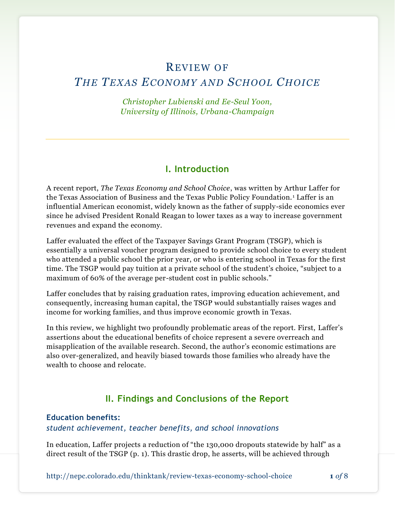## REVIEW OF

## *THE TEXAS ECONOMY AND SCHOOL CHOICE*

*Christopher Lubienski and Ee-Seul Yoon, University of Illinois, Urbana-Champaign*

## **I. Introduction**

A recent report, *The Texas Economy and School Choice*, was written by Arthur Laffer for the Texas Association of Business and the Texas Public Policy Foundation. <sup>1</sup> Laffer is an influential American economist, widely known as the father of supply-side economics ever since he advised President Ronald Reagan to lower taxes as a way to increase government revenues and expand the economy.

Laffer evaluated the effect of the Taxpayer Savings Grant Program (TSGP), which is essentially a universal voucher program designed to provide school choice to every student who attended a public school the prior year, or who is entering school in Texas for the first time. The TSGP would pay tuition at a private school of the student's choice, "subject to a maximum of 60% of the average per-student cost in public schools."

Laffer concludes that by raising graduation rates, improving education achievement, and consequently, increasing human capital, the TSGP would substantially raises wages and income for working families, and thus improve economic growth in Texas.

In this review, we highlight two profoundly problematic areas of the report. First, Laffer's assertions about the educational benefits of choice represent a severe overreach and misapplication of the available research. Second, the author's economic estimations are also over-generalized, and heavily biased towards those families who already have the wealth to choose and relocate.

## **II. Findings and Conclusions of the Report**

#### **Education benefits:**

#### *student achievement, teacher benefits, and school innovations*

In education, Laffer projects a reduction of "the 130,000 dropouts statewide by half" as a direct result of the TSGP (p. 1). This drastic drop, he asserts, will be achieved through

http://nepc.colorado.edu/thinktank/review-texas-economy-school-choice **1** *of* 8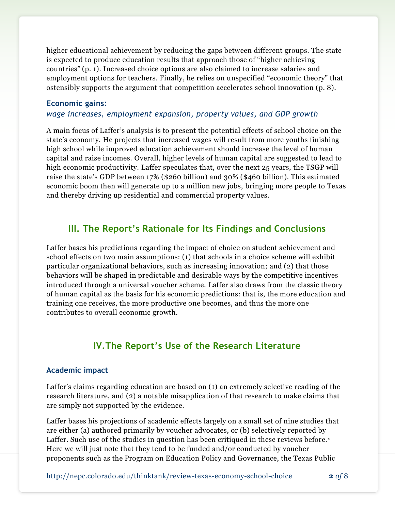higher educational achievement by reducing the gaps between different groups. The state is expected to produce education results that approach those of "higher achieving countries" (p. 1). Increased choice options are also claimed to increase salaries and employment options for teachers. Finally, he relies on unspecified "economic theory" that ostensibly supports the argument that competition accelerates school innovation (p. 8).

#### **Economic gains:**

#### *wage increases, employment expansion, property values, and GDP growth*

A main focus of Laffer's analysis is to present the potential effects of school choice on the state's economy. He projects that increased wages will result from more youths finishing high school while improved education achievement should increase the level of human capital and raise incomes. Overall, higher levels of human capital are suggested to lead to high economic productivity. Laffer speculates that, over the next 25 years, the TSGP will raise the state's GDP between 17% (\$260 billion) and 30% (\$460 billion). This estimated economic boom then will generate up to a million new jobs, bringing more people to Texas and thereby driving up residential and commercial property values.

## **III. The Report's Rationale for Its Findings and Conclusions**

Laffer bases his predictions regarding the impact of choice on student achievement and school effects on two main assumptions: (1) that schools in a choice scheme will exhibit particular organizational behaviors, such as increasing innovation; and (2) that those behaviors will be shaped in predictable and desirable ways by the competitive incentives introduced through a universal voucher scheme. Laffer also draws from the classic theory of human capital as the basis for his economic predictions: that is, the more education and training one receives, the more productive one becomes, and thus the more one contributes to overall economic growth.

## **IV.The Report's Use of the Research Literature**

#### **Academic impact**

Laffer's claims regarding education are based on (1) an extremely selective reading of the research literature, and (2) a notable misapplication of that research to make claims that are simply not supported by the evidence.

Laffer bases his projections of academic effects largely on a small set of nine studies that are either (a) authored primarily by voucher advocates, or (b) selectively reported by Laffer. Such use of the studies in question has been critiqued in these reviews before.<sup>2</sup> Here we will just note that they tend to be funded and/or conducted by voucher proponents such as the Program on Education Policy and Governance, the Texas Public

http://nepc.colorado.edu/thinktank/review-texas-economy-school-choice **2** *of* 8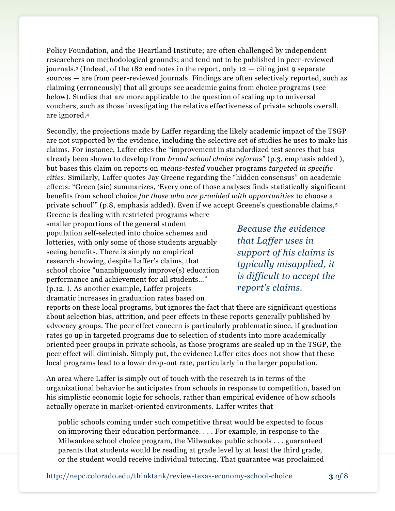Policy Foundation, and the Heartland Institute; are often challenged by independent researchers on methodological grounds; and tend not to be published in peer-reviewed journals.<sup>3</sup> (Indeed, of the 182 endnotes in the report, only  $12 - \text{citing just 9 separate}$ sources — are from peer-reviewed journals. Findings are often selectively reported, such as claiming (erroneously) that all groups see academic gains from choice programs (see below). Studies that are more applicable to the question of scaling up to universal vouchers, such as those investigating the relative effectiveness of private schools overall, are ignored.<sup>4</sup>

Secondly, the projections made by Laffer regarding the likely academic impact of the TSGP are not supported by the evidence, including the selective set of studies he uses to make his claims. For instance, Laffer cites the "improvement in standardized test scores that has already been shown to develop from *broad school choice reforms*" (p.3, emphasis added ), but bases this claim on reports on *means-tested* voucher programs *targeted in specific cities*. Similarly, Laffer quotes Jay Greene regarding the "hidden consensus" on academic effects: "Green (sic) summarizes, 'Every one of those analyses finds statistically significant benefits from school choice *for those who are provided with opportunities* to choose a private school'" (p.8, emphasis added). Even if we accept Greene's questionable claims, <sup>5</sup>

Greene is dealing with restricted programs where smaller proportions of the general student population self-selected into choice schemes and lotteries, with only some of those students arguably seeing benefits. There is simply no empirical research showing, despite Laffer's claims, that school choice "unambiguously improve(s) education performance and achievement for all students…" (p.12. ). As another example, Laffer projects dramatic increases in graduation rates based on

*Because the evidence that Laffer uses in support of his claims is typically misapplied, it is difficult to accept the report's claims.*

reports on these local programs, but ignores the fact that there are significant questions about selection bias, attrition, and peer effects in these reports generally published by advocacy groups. The peer effect concern is particularly problematic since, if graduation rates go up in targeted programs due to selection of students into more academically oriented peer groups in private schools, as those programs are scaled up in the TSGP, the peer effect will diminish. Simply put, the evidence Laffer cites does not show that these local programs lead to a lower drop-out rate, particularly in the larger population.

An area where Laffer is simply out of touch with the research is in terms of the organizational behavior he anticipates from schools in response to competition, based on his simplistic economic logic for schools, rather than empirical evidence of how schools actually operate in market-oriented environments. Laffer writes that

public schools coming under such competitive threat would be expected to focus on improving their education performance. . . . For example, in response to the Milwaukee school choice program, the Milwaukee public schools . . . guaranteed parents that students would be reading at grade level by at least the third grade, or the student would receive individual tutoring. That guarantee was proclaimed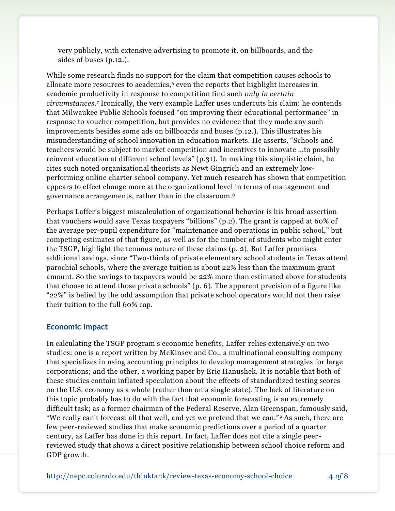very publicly, with extensive advertising to promote it, on billboards, and the sides of buses (p.12.).

While some research finds no support for the claim that competition causes schools to allocate more resources to academics,<sup>6</sup> even the reports that highlight increases in academic productivity in response to competition find such *only in certain circumstances*. <sup>7</sup> Ironically, the very example Laffer uses undercuts his claim: he contends that Milwaukee Public Schools focused "on improving their educational performance" in response to voucher competition, but provides no evidence that they made any such improvements besides some ads on billboards and buses (p.12.). This illustrates his misunderstanding of school innovation in education markets. He asserts, "Schools and teachers would be subject to market competition and incentives to innovate …to possibly reinvent education at different school levels" (p.31). In making this simplistic claim, he cites such noted organizational theorists as Newt Gingrich and an extremely lowperforming online charter school company. Yet much research has shown that competition appears to effect change more at the organizational level in terms of management and governance arrangements, rather than in the classroom.<sup>8</sup>

Perhaps Laffer's biggest miscalculation of organizational behavior is his broad assertion that vouchers would save Texas taxpayers "billions" (p.2). The grant is capped at 60% of the average per-pupil expenditure for "maintenance and operations in public school," but competing estimates of that figure, as well as for the number of students who might enter the TSGP, highlight the tenuous nature of these claims (p. 2). But Laffer promises additional savings, since "Two-thirds of private elementary school students in Texas attend parochial schools, where the average tuition is about 22% less than the maximum grant amount. So the savings to taxpayers would be 22% more than estimated above for students that choose to attend those private schools" (p. 6). The apparent precision of a figure like "22%" is belied by the odd assumption that private school operators would not then raise their tuition to the full 60% cap.

#### **Economic impact**

In calculating the TSGP program's economic benefits, Laffer relies extensively on two studies: one is a report written by McKinsey and Co., a multinational consulting company that specializes in using accounting principles to develop management strategies for large corporations; and the other, a working paper by Eric Hanushek. It is notable that both of these studies contain inflated speculation about the effects of standardized testing scores on the U.S. economy as a whole (rather than on a single state). The lack of literature on this topic probably has to do with the fact that economic forecasting is an extremely difficult task; as a former chairman of the Federal Reserve, Alan Greenspan, famously said, "We really can't forecast all that well, and yet we pretend that we can." <sup>9</sup> As such, there are few peer-reviewed studies that make economic predictions over a period of a quarter century, as Laffer has done in this report. In fact, Laffer does not cite a single peer reviewed study that shows a direct positive relationship between school choice reform and GDP growth.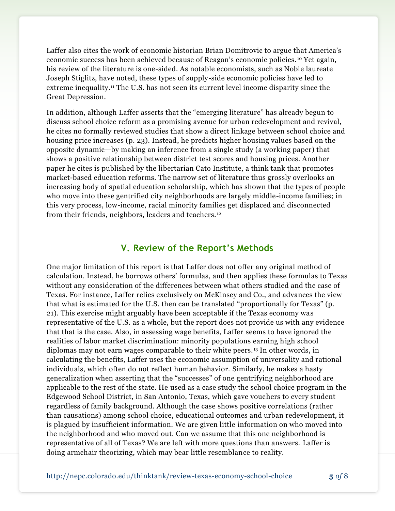Laffer also cites the work of economic historian Brian Domitrovic to argue that America's economic success has been achieved because of Reagan's economic policies. <sup>10</sup> Yet again, his review of the literature is one-sided. As notable economists, such as Noble laureate Joseph Stiglitz, have noted, these types of supply-side economic policies have led to extreme inequality.<sup>11</sup> The U.S. has not seen its current level income disparity since the Great Depression.

In addition, although Laffer asserts that the "emerging literature" has already begun to discuss school choice reform as a promising avenue for urban redevelopment and revival, he cites no formally reviewed studies that show a direct linkage between school choice and housing price increases (p. 23). Instead, he predicts higher housing values based on the opposite dynamic—by making an inference from a single study (a working paper) that shows a positive relationship between district test scores and housing prices. Another paper he cites is published by the libertarian Cato Institute, a think tank that promotes market-based education reforms. The narrow set of literature thus grossly overlooks an increasing body of spatial education scholarship, which has shown that the types of people who move into these gentrified city neighborhoods are largely middle-income families; in this very process, low-income, racial minority families get displaced and disconnected from their friends, neighbors, leaders and teachers. <sup>12</sup>

## **V. Review of the Report's Methods**

One major limitation of this report is that Laffer does not offer any original method of calculation. Instead, he borrows others' formulas, and then applies these formulas to Texas without any consideration of the differences between what others studied and the case of Texas. For instance, Laffer relies exclusively on McKinsey and Co., and advances the view that what is estimated for the U.S. then can be translated "proportionally for Texas" (p. 21). This exercise might arguably have been acceptable if the Texas economy was representative of the U.S. as a whole, but the report does not provide us with any evidence that that is the case. Also, in assessing wage benefits, Laffer seems to have ignored the realities of labor market discrimination: minority populations earning high school diplomas may not earn wages comparable to their white peers. <sup>13</sup> In other words, in calculating the benefits, Laffer uses the economic assumption of universality and rational individuals, which often do not reflect human behavior. Similarly, he makes a hasty generalization when asserting that the "successes" of one gentrifying neighborhood are applicable to the rest of the state. He used as a case study the school choice program in the Edgewood School District, in San Antonio, Texas, which gave vouchers to every student regardless of family background. Although the case shows positive correlations (rather than causations) among school choice, educational outcomes and urban redevelopment, it is plagued by insufficient information. We are given little information on who moved into the neighborhood and who moved out. Can we assume that this one neighborhood is representative of all of Texas? We are left with more questions than answers. Laffer is doing armchair theorizing, which may bear little resemblance to reality.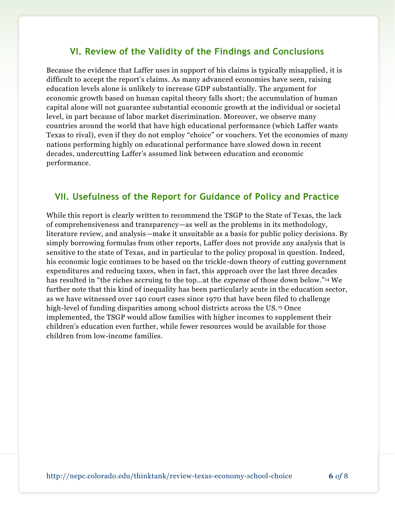## **VI. Review of the Validity of the Findings and Conclusions**

Because the evidence that Laffer uses in support of his claims is typically misapplied, it is difficult to accept the report's claims. As many advanced economies have seen, raising education levels alone is unlikely to increase GDP substantially. The argument for economic growth based on human capital theory falls short; the accumulation of human capital alone will not guarantee substantial economic growth at the individual or societal level, in part because of labor market discrimination. Moreover, we observe many countries around the world that have high educational performance (which Laffer wants Texas to rival), even if they do not employ "choice" or vouchers. Yet the economies of many nations performing highly on educational performance have slowed down in recent decades, undercutting Laffer's assumed link between education and economic performance.

## **VII. Usefulness of the Report for Guidance of Policy and Practice**

While this report is clearly written to recommend the TSGP to the State of Texas, the lack of comprehensiveness and transparency—as well as the problems in its methodology, literature review, and analysis—make it unsuitable as a basis for public policy decisions. By simply borrowing formulas from other reports, Laffer does not provide any analysis that is sensitive to the state of Texas, and in particular to the policy proposal in question. Indeed, his economic logic continues to be based on the trickle-down theory of cutting government expenditures and reducing taxes, when in fact, this approach over the last three decades has resulted in "the riches accruing to the top…at the *expense* of those down below."<sup>14</sup> We further note that this kind of inequality has been particularly acute in the education sector, as we have witnessed over 140 court cases since 1970 that have been filed to challenge high-level of funding disparities among school districts across the US. <sup>15</sup> Once implemented, the TSGP would allow families with higher incomes to supplement their children's education even further, while fewer resources would be available for those children from low-income families.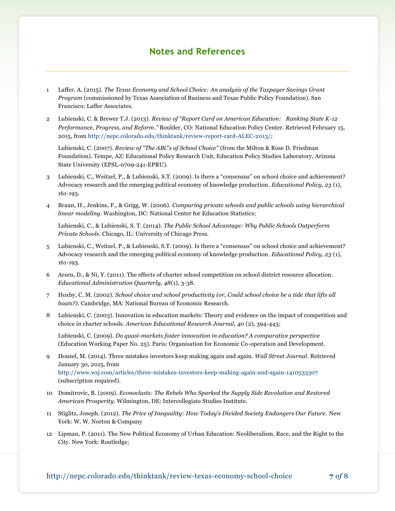## **Notes and References**

- 1 Laffer, A. (2015). *The Texas Economy and School Choice: An analysis of the Taxpayer Savings Grant Program* (commissioned by Texas Association of Business and Texas Public Policy Foundation). San Francisco: Laffer Associates.
- 2 Lubienski, C. & Brewer T.J. (2013). *Review of "Report Card on American Education: Ranking State K-12 Performance, Progress, and Reform."* Boulder, CO: National Education Policy Center. Retrieved February 15, 2015, fro[m http://nepc.colorado.edu/thinktank/review-report-card-ALEC-2013/;](http://nepc.colorado.edu/thinktank/review-report-card-ALEC-2013/)

Lubienski, C. (2007). *Review of "The ABC's of School Choice"* (from the Milton & Rose D. Friedman Foundation). Tempe, AZ: Educational Policy Research Unit, Education Policy Studies Laboratory, Arizona State University (EPSL-0709-241-EPRU).

- 3 Lubienski, C., Weitzel, P., & Lubienski, S.T. (2009). Is there a "consensus" on school choice and achievement? Advocacy research and the emerging political economy of knowledge production. *Educational Policy, 23* (1), 161-193.
- 4 Braun, H., Jenkins, F., & Grigg, W. (2006). *Comparing private schools and public schools using hierarchical linear modeling.* Washington, DC: National Center for Education Statistics;

Lubienski, C., & Lubienski, S. T. (2014). *The Public School Advantage: Why Public Schools Outperform Private Schools*. Chicago, IL: University of Chicago Press.

- 5 Lubienski, C., Weitzel, P., & Lubienski, S.T. (2009). Is there a "consensus" on school choice and achievement? Advocacy research and the emerging political economy of knowledge production. *Educational Policy, 23* (1), 161-193.
- 6 Arsen, D., & Ni, Y. (2011). The effects of charter school competition on school district resource allocation. *Educational Administration Quarterly, 48*(1), 3-38.
- 7 Hoxby, C. M. (2002). *School choice and school productivity (or, Could school choice be a tide that lifts all boats?)*. Cambridge, MA: National Bureau of Economic Research.
- 8 Lubienski, C. (2003). Innovation in education markets: Theory and evidence on the impact of competition and choice in charter schools. *American Educational Research Journal, 40* (2), 394-443;

Lubienski, C. (2009). *Do quasi-markets foster innovation in education? A comparative perspective* (Education Working Paper No. 25). Paris: Organisation for Economic Co-operation and Development.

- 9 Housel, M. (2014). Three mistakes investors keep making again and again. *Wall Street Journal*. Retrieved January 30, 2015, from <http://www.wsj.com/articles/three-mistakes-investors-keep-making-again-and-again-1410533307> (subscription required).
- 10 Domitrovic, B. (2009). *Econoclasts: The Rebels Who Sparked the Supply Side Revolution and Restored American Prosperity*. Wilmington, DE: Intercollegiate Studies Institute.
- 11 Stiglitz, Joseph. (2012). *The Price of Inequality: How Today's Divided Society Endangers Our Future*. New York: W. W. Norton & Company
- 12 Lipman, P. (2011). The New Political Economy of Urban Education: Neoliberalism, Race, and the Right to the City. New York: Routledge;

http://nepc.colorado.edu/thinktank/review-texas-economy-school-choice **7** *of* 8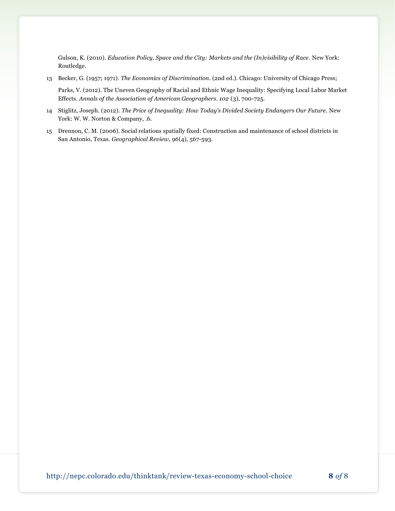Gulson, K. (2010). *Education Policy, Space and the City: Markets and the (In)visibility of Race*. New York: Routledge.

- 13 Becker, G. (1957; 1971). *The Economics of Discrimination*. (2nd ed.). Chicago: University of Chicago Press; Parks, V. (2012). The Uneven Geography of Racial and Ethnic Wage Inequality: Specifying Local Labor Market Effects. *Annals of the Association of American Geographers. 102* (3), 700-725.
- 14 Stiglitz, Joseph. (2012). *The Price of Inequality: How Today's Divided Society Endangers Our Future*. New York: W. W. Norton & Company, .6.
- 15 Drennon, C. M. (2006). Social relations spatially fixed: Construction and maintenance of school districts in San Antonio, Texas. *Geographical Review, 96*(4), 567-593.